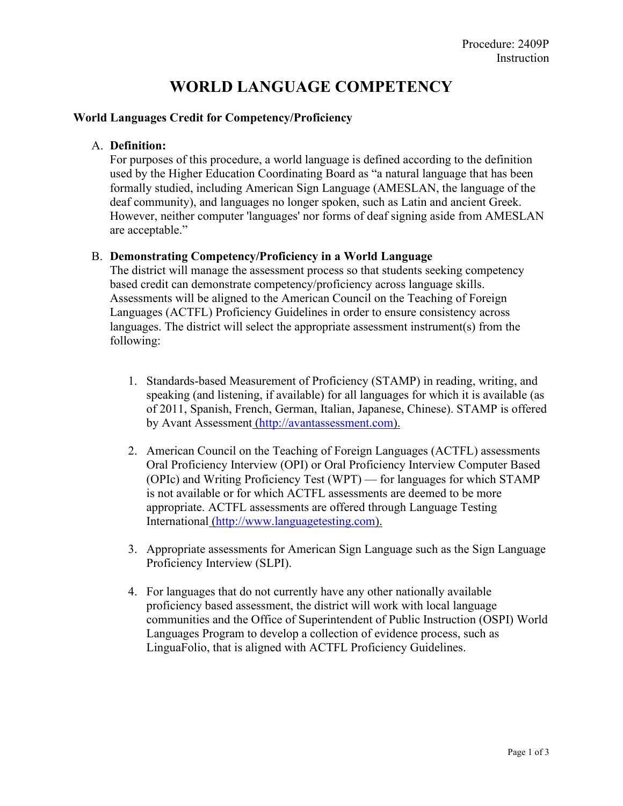# **WORLD LANGUAGE COMPETENCY**

### **World Languages Credit for Competency/Proficiency**

## A. **Definition:**

For purposes of this procedure, a world language is defined according to the definition used by the Higher Education Coordinating Board as "a natural language that has been formally studied, including American Sign Language (AMESLAN, the language of the deaf community), and languages no longer spoken, such as Latin and ancient Greek. However, neither computer 'languages' nor forms of deaf signing aside from AMESLAN are acceptable."

#### B. **Demonstrating Competency/Proficiency in a World Language**

The district will manage the assessment process so that students seeking competency based credit can demonstrate competency/proficiency across language skills. Assessments will be aligned to the American Council on the Teaching of Foreign Languages (ACTFL) Proficiency Guidelines in order to ensure consistency across languages. The district will select the appropriate assessment instrument(s) from the following:

- 1. Standards-based Measurement of Proficiency (STAMP) in reading, writing, and speaking (and listening, if available) for all languages for which it is available (as of 2011, Spanish, French, German, Italian, Japanese, Chinese). STAMP is offered by Avant Assessment [\(http://avantassessment.com\)](http://avantassessment.com/).
- 2. American Council on the Teaching of Foreign Languages (ACTFL) assessments Oral Proficiency Interview (OPI) or Oral Proficiency Interview Computer Based (OPIc) and Writing Proficiency Test (WPT) — for languages for which STAMP is not available or for which ACTFL assessments are deemed to be more appropriate. ACTFL assessments are offered through Language Testing International [\(http://www.languagetesting.com\)](http://www.languagetesting.com/).
- 3. Appropriate assessments for American Sign Language such as the Sign Language Proficiency Interview (SLPI).
- 4. For languages that do not currently have any other nationally available proficiency based assessment, the district will work with local language communities and the Office of Superintendent of Public Instruction (OSPI) World Languages Program to develop a collection of evidence process, such as LinguaFolio, that is aligned with ACTFL Proficiency Guidelines.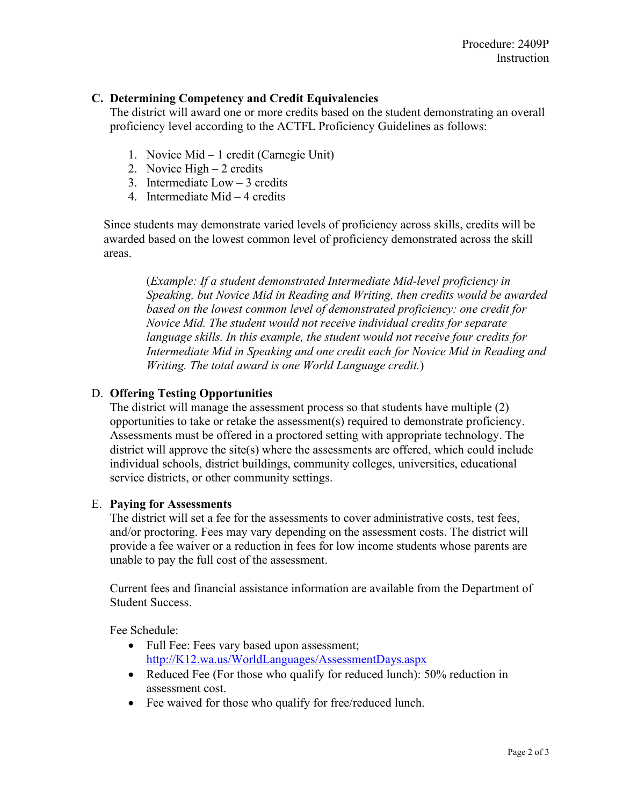# **C. Determining Competency and Credit Equivalencies**

The district will award one or more credits based on the student demonstrating an overall proficiency level according to the ACTFL Proficiency Guidelines as follows:

- 1. Novice Mid 1 credit (Carnegie Unit)
- 2. Novice High 2 credits
- 3. Intermediate Low 3 credits
- 4. Intermediate Mid 4 credits

Since students may demonstrate varied levels of proficiency across skills, credits will be awarded based on the lowest common level of proficiency demonstrated across the skill areas.

(*Example: If a student demonstrated Intermediate Mid-level proficiency in Speaking, but Novice Mid in Reading and Writing, then credits would be awarded based on the lowest common level of demonstrated proficiency: one credit for Novice Mid. The student would not receive individual credits for separate language skills. In this example, the student would not receive four credits for Intermediate Mid in Speaking and one credit each for Novice Mid in Reading and Writing. The total award is one World Language credit.*)

# D. **Offering Testing Opportunities**

The district will manage the assessment process so that students have multiple (2) opportunities to take or retake the assessment(s) required to demonstrate proficiency. Assessments must be offered in a proctored setting with appropriate technology. The district will approve the site(s) where the assessments are offered, which could include individual schools, district buildings, community colleges, universities, educational service districts, or other community settings.

## E. **Paying for Assessments**

The district will set a fee for the assessments to cover administrative costs, test fees, and/or proctoring. Fees may vary depending on the assessment costs. The district will provide a fee waiver or a reduction in fees for low income students whose parents are unable to pay the full cost of the assessment.

Current fees and financial assistance information are available from the Department of Student Success.

Fee Schedule:

- Full Fee: Fees vary based upon assessment; [http://K12.wa.us/WorldLanguages/AssessmentDays.aspx](http://k12.wa.us/WorldLanguages/AssessmentDays.aspx)
- Reduced Fee (For those who qualify for reduced lunch): 50% reduction in assessment cost.
- Fee waived for those who qualify for free/reduced lunch.